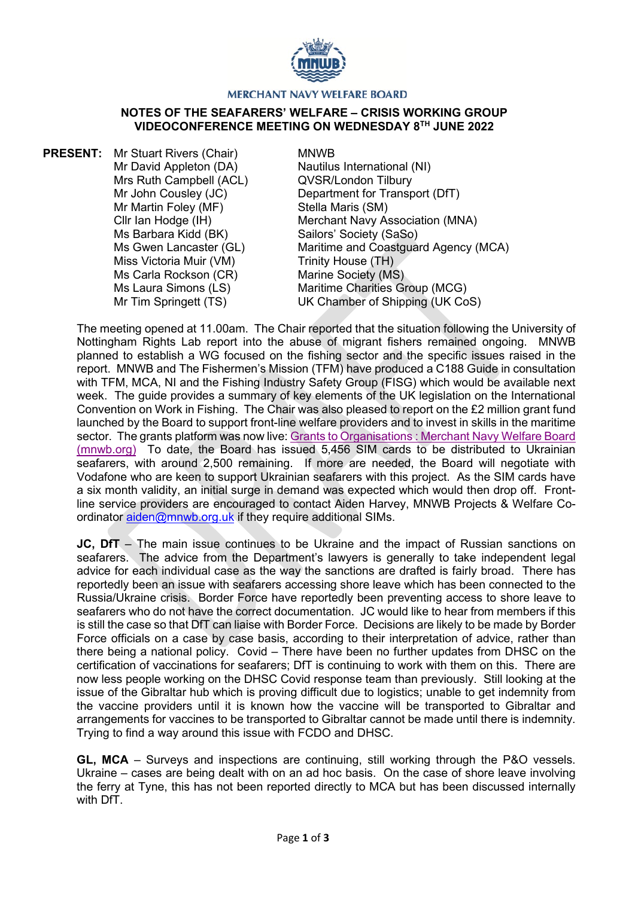

## **MERCHANT NAVY WELFARE BOARD**

## **NOTES OF THE SEAFARERS' WELFARE – CRISIS WORKING GROUP VIDEOCONFERENCE MEETING ON WEDNESDAY 8TH JUNE 2022**

**PRESENT:** Mr Stuart Rivers (Chair) Mr David Appleton (DA) Mrs Ruth Campbell (ACL) Mr John Cousley (JC) Mr Martin Foley (MF) Cllr Ian Hodge (IH) Ms Barbara Kidd (BK) Ms Gwen Lancaster (GL) Miss Victoria Muir (VM) Ms Carla Rockson (CR) Ms Laura Simons (LS) Mr Tim Springett (TS)

## MNWB

Nautilus International (NI) QVSR/London Tilbury Department for Transport (DfT) Stella Maris (SM) Merchant Navy Association (MNA) Sailors' Society (SaSo) Maritime and Coastguard Agency (MCA) Trinity House (TH) Marine Society (MS) Maritime Charities Group (MCG) UK Chamber of Shipping (UK CoS)

The meeting opened at 11.00am. The Chair reported that the situation following the University of Nottingham Rights Lab report into the abuse of migrant fishers remained ongoing. MNWB planned to establish a WG focused on the fishing sector and the specific issues raised in the report. MNWB and The Fishermen's Mission (TFM) have produced a C188 Guide in consultation with TFM, MCA, NI and the Fishing Industry Safety Group (FISG) which would be available next week. The guide provides a summary of key elements of the UK legislation on the International Convention on Work in Fishing. The Chair was also pleased to report on the £2 million grant fund launched by the Board to support front-line welfare providers and to invest in skills in the maritime sector. The grants platform was now live: [Grants to Organisations : Merchant Navy Welfare Board](https://www.mnwb.org/Grants_to_Organisations)  [\(mnwb.org\)](https://www.mnwb.org/Grants_to_Organisations) To date, the Board has issued 5,456 SIM cards to be distributed to Ukrainian seafarers, with around 2,500 remaining. If more are needed, the Board will negotiate with Vodafone who are keen to support Ukrainian seafarers with this project. As the SIM cards have a six month validity, an initial surge in demand was expected which would then drop off. Frontline service providers are encouraged to contact Aiden Harvey, MNWB Projects & Welfare Coordinator [aiden@mnwb.org.uk](mailto:aiden@mnwb.org.uk) if they require additional SIMs.

**JC, DfT** – The main issue continues to be Ukraine and the impact of Russian sanctions on seafarers. The advice from the Department's lawyers is generally to take independent legal advice for each individual case as the way the sanctions are drafted is fairly broad. There has reportedly been an issue with seafarers accessing shore leave which has been connected to the Russia/Ukraine crisis. Border Force have reportedly been preventing access to shore leave to seafarers who do not have the correct documentation. JC would like to hear from members if this is still the case so that DfT can liaise with Border Force. Decisions are likely to be made by Border Force officials on a case by case basis, according to their interpretation of advice, rather than there being a national policy. Covid – There have been no further updates from DHSC on the certification of vaccinations for seafarers; DfT is continuing to work with them on this. There are now less people working on the DHSC Covid response team than previously. Still looking at the issue of the Gibraltar hub which is proving difficult due to logistics; unable to get indemnity from the vaccine providers until it is known how the vaccine will be transported to Gibraltar and arrangements for vaccines to be transported to Gibraltar cannot be made until there is indemnity. Trying to find a way around this issue with FCDO and DHSC.

**GL, MCA** – Surveys and inspections are continuing, still working through the P&O vessels. Ukraine – cases are being dealt with on an ad hoc basis. On the case of shore leave involving the ferry at Tyne, this has not been reported directly to MCA but has been discussed internally with DfT.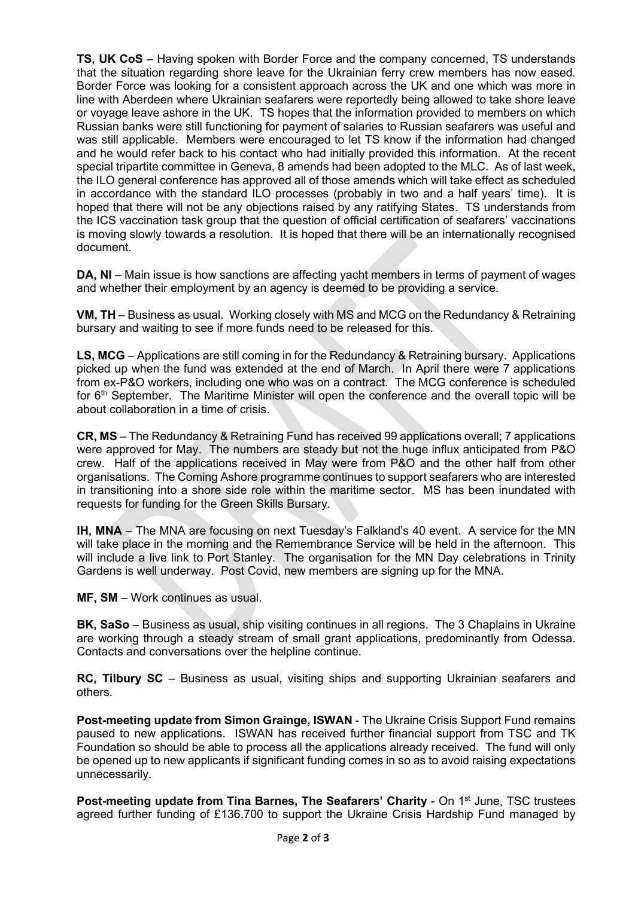**TS, UK CoS** – Having spoken with Border Force and the company concerned, TS understands that the situation regarding shore leave for the Ukrainian ferry crew members has now eased. Border Force was looking for a consistent approach across the UK and one which was more in line with Aberdeen where Ukrainian seafarers were reportedly being allowed to take shore leave or voyage leave ashore in the UK. TS hopes that the information provided to members on which Russian banks were still functioning for payment of salaries to Russian seafarers was useful and was still applicable. Members were encouraged to let TS know if the information had changed and he would refer back to his contact who had initially provided this information. At the recent special tripartite committee in Geneva, 8 amends had been adopted to the MLC. As of last week, the ILO general conference has approved all of those amends which will take effect as scheduled in accordance with the standard ILO processes (probably in two and a half years' time). It is hoped that there will not be any objections raised by any ratifying States. TS understands from the ICS vaccination task group that the question of official certification of seafarers' vaccinations is moving slowly towards a resolution. It is hoped that there will be an internationally recognised document.

**DA, NI** – Main issue is how sanctions are affecting yacht members in terms of payment of wages and whether their employment by an agency is deemed to be providing a service.

**VM, TH** – Business as usual. Working closely with MS and MCG on the Redundancy & Retraining bursary and waiting to see if more funds need to be released for this.

**LS, MCG** – Applications are still coming in for the Redundancy & Retraining bursary. Applications picked up when the fund was extended at the end of March. In April there were 7 applications from ex-P&O workers, including one who was on a contract. The MCG conference is scheduled for 6<sup>th</sup> September. The Maritime Minister will open the conference and the overall topic will be about collaboration in a time of crisis.

**CR, MS** – The Redundancy & Retraining Fund has received 99 applications overall; 7 applications were approved for May. The numbers are steady but not the huge influx anticipated from P&O crew. Half of the applications received in May were from P&O and the other half from other organisations. The Coming Ashore programme continues to support seafarers who are interested in transitioning into a shore side role within the maritime sector. MS has been inundated with requests for funding for the Green Skills Bursary.

**IH, MNA** – The MNA are focusing on next Tuesday's Falkland's 40 event. A service for the MN will take place in the morning and the Remembrance Service will be held in the afternoon. This will include a live link to Port Stanley. The organisation for the MN Day celebrations in Trinity Gardens is well underway. Post Covid, new members are signing up for the MNA.

**MF, SM** – Work continues as usual.

**BK, SaSo** – Business as usual, ship visiting continues in all regions. The 3 Chaplains in Ukraine are working through a steady stream of small grant applications, predominantly from Odessa. Contacts and conversations over the helpline continue.

**RC, Tilbury SC** – Business as usual, visiting ships and supporting Ukrainian seafarers and others.

**Post-meeting update from Simon Grainge, ISWAN** - The Ukraine Crisis Support Fund remains paused to new applications. ISWAN has received further financial support from TSC and TK Foundation so should be able to process all the applications already received. The fund will only be opened up to new applicants if significant funding comes in so as to avoid raising expectations unnecessarily.

**Post-meeting update from Tina Barnes, The Seafarers' Charity - On 1<sup>st</sup> June, TSC trustees** agreed further funding of £136,700 to support the Ukraine Crisis Hardship Fund managed by